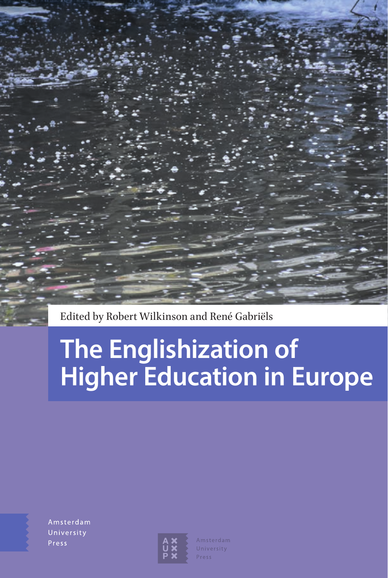Edited by Robert Wilkinson and René Gabriëls

# **The Englishization of Higher Education in Europe**

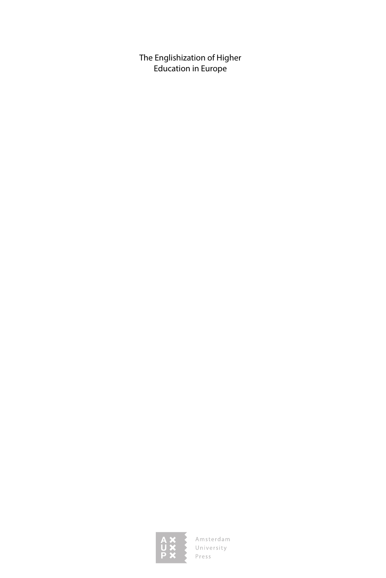The Englishization of Higher Education in Europe

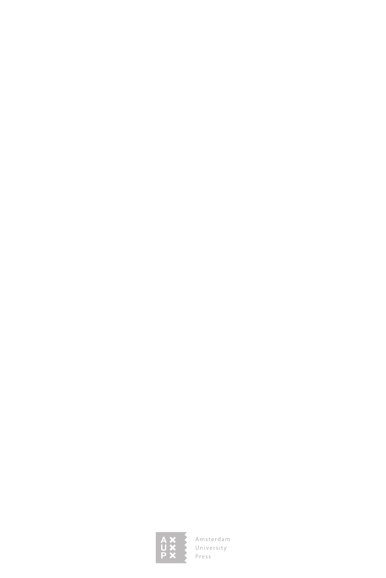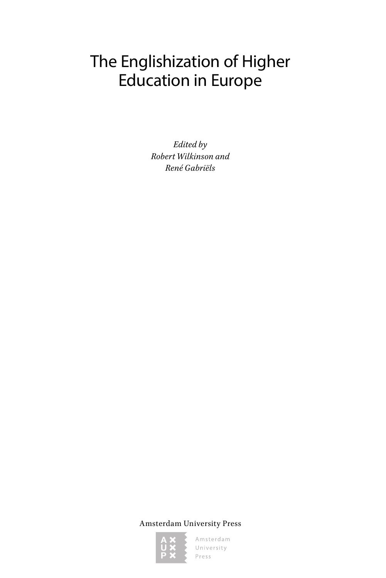# The Englishization of Higher Education in Europe

*Edited by Robert Wilkinson and René Gabriëls*

Amsterdam University Press

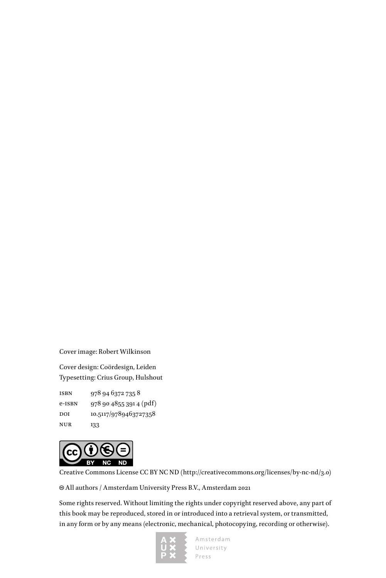Cover image: Robert Wilkinson

Cover design: Coördesign, Leiden Typesetting: Crius Group, Hulshout

isbn 978 94 6372 735 8 e-isbn 978 90 4855 391 4 (pdf) DOI 10.5117/9789463727358 nur 133



Creative Commons License CC BY NC ND (<http://creativecommons.org/licenses/by-nc-nd/3.0>)

All authors / Amsterdam University Press B.V., Amsterdam 2021

Some rights reserved. Without limiting the rights under copyright reserved above, any part of this book may be reproduced, stored in or introduced into a retrieval system, or transmitted, in any form or by any means (electronic, mechanical, photocopying, recording or otherwise).

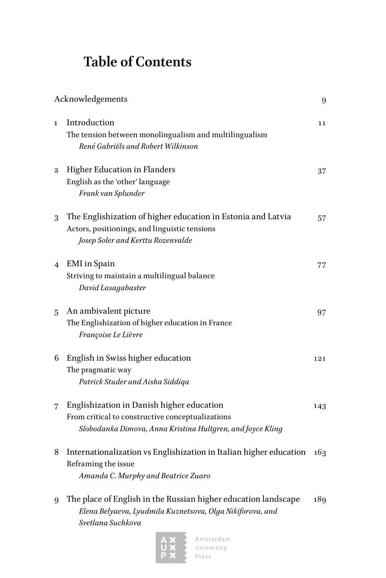## **Table of Contents**

|                | Acknowledgements                                                                                                                                            | 9   |
|----------------|-------------------------------------------------------------------------------------------------------------------------------------------------------------|-----|
| $\mathbf{1}$   | Introduction<br>The tension between monolingualism and multilingualism<br>René Gabriëls and Robert Wilkinson                                                | 11  |
| $\overline{2}$ | <b>Higher Education in Flanders</b><br>English as the 'other' language<br>Frank van Splunder                                                                | 37  |
| 3              | The Englishization of higher education in Estonia and Latvia<br>Actors, positionings, and linguistic tensions<br>Josep Soler and Kerttu Rozenvalde          | 57  |
| 4              | <b>EMI</b> in Spain<br>Striving to maintain a multilingual balance<br>David Lasagabaster                                                                    | 77  |
| 5              | An ambivalent picture<br>The Englishization of higher education in France<br>Françoise Le Lièvre                                                            | 97  |
| 6              | English in Swiss higher education<br>The pragmatic way<br>Patrick Studer and Aisha Siddiga                                                                  | 121 |
| 7              | Englishization in Danish higher education<br>From critical to constructive conceptualizations<br>Slobodanka Dimova, Anna Kristina Hultgren, and Joyce Kling | 143 |
| 8              | Internationalization vs Englishization in Italian higher education<br>Reframing the issue<br>Amanda C. Murphy and Beatrice Zuaro                            | 163 |
| 9              | The place of English in the Russian higher education landscape<br>Elena Belyaeva, Lyudmila Kuznetsova, Olga Nikiforova, and<br>Svetlana Suchkova            | 189 |

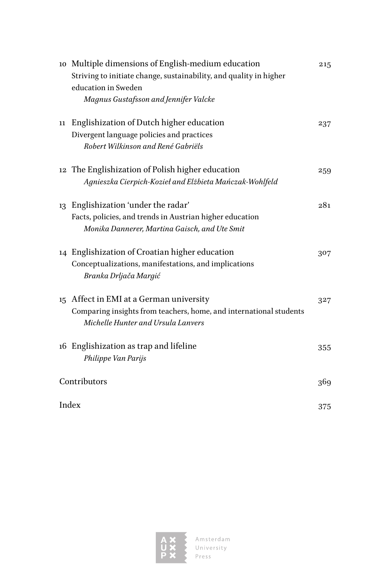|    | 10 Multiple dimensions of English-medium education<br>Striving to initiate change, sustainability, and quality in higher | 215 |
|----|--------------------------------------------------------------------------------------------------------------------------|-----|
|    | education in Sweden                                                                                                      |     |
|    | Magnus Gustafsson and Jennifer Valcke                                                                                    |     |
| 11 | Englishization of Dutch higher education                                                                                 | 237 |
|    | Divergent language policies and practices                                                                                |     |
|    | Robert Wilkinson and René Gabriëls                                                                                       |     |
|    | 12 The Englishization of Polish higher education                                                                         | 259 |
|    | Agnieszka Cierpich-Kozieł and Elżbieta Mańczak-Wohlfeld                                                                  |     |
| 13 | Englishization 'under the radar'                                                                                         | 281 |
|    | Facts, policies, and trends in Austrian higher education                                                                 |     |
|    | Monika Dannerer, Martina Gaisch, and Ute Smit                                                                            |     |
|    | 14 Englishization of Croatian higher education                                                                           | 307 |
|    | Conceptualizations, manifestations, and implications                                                                     |     |
|    | Branka Drljača Margić                                                                                                    |     |
|    | 15 Affect in EMI at a German university                                                                                  | 327 |
|    | Comparing insights from teachers, home, and international students                                                       |     |
|    | Michelle Hunter and Ursula Lanvers                                                                                       |     |
|    | 16 Englishization as trap and lifeline                                                                                   | 355 |
|    | Philippe Van Parijs                                                                                                      |     |
|    | Contributors                                                                                                             |     |
|    | Index                                                                                                                    |     |
|    |                                                                                                                          | 375 |

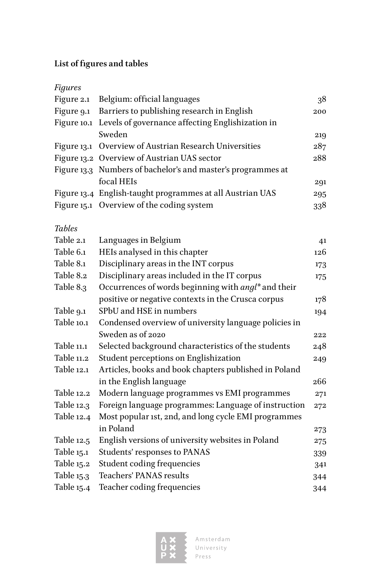#### **List of figures and tables**

| <b>Figures</b> |                                                              |     |
|----------------|--------------------------------------------------------------|-----|
|                | Figure 2.1 Belgium: official languages                       | 38  |
|                | Figure 9.1 Barriers to publishing research in English        | 200 |
|                | Figure 10.1 Levels of governance affecting Englishization in |     |
|                | Sweden                                                       | 219 |
|                | Figure 13.1 Overview of Austrian Research Universities       | 287 |
|                | Figure 13.2 Overview of Austrian UAS sector                  | 288 |
|                | Figure 13.3 Numbers of bachelor's and master's programmes at |     |
|                | focal HEIs                                                   | 291 |
|                | Figure 13.4 English-taught programmes at all Austrian UAS    | 295 |
|                | Figure 15.1 Overview of the coding system                    | 338 |
|                |                                                              |     |
| <b>Tables</b>  |                                                              |     |

| Table 2.1  | Languages in Belgium                                            | 41  |
|------------|-----------------------------------------------------------------|-----|
| Table 6.1  | HEIs analysed in this chapter                                   | 126 |
| Table 8.1  | Disciplinary areas in the INT corpus                            | 173 |
| Table 8.2  | Disciplinary areas included in the IT corpus                    | 175 |
| Table 8.3  | Occurrences of words beginning with angl <sup>*</sup> and their |     |
|            | positive or negative contexts in the Crusca corpus              | 178 |
| Table 9.1  | SPbU and HSE in numbers                                         | 194 |
| Table 10.1 | Condensed overview of university language policies in           |     |
|            | Sweden as of 2020                                               | 222 |
| Table 11.1 | Selected background characteristics of the students             | 248 |
| Table 11.2 | Student perceptions on Englishization                           | 249 |
| Table 12.1 | Articles, books and book chapters published in Poland           |     |
|            | in the English language                                         | 266 |
| Table 12.2 | Modern language programmes vs EMI programmes                    | 271 |
| Table 12.3 | Foreign language programmes: Language of instruction            | 272 |
| Table 12.4 | Most popular 1st, 2nd, and long cycle EMI programmes            |     |
|            | in Poland                                                       | 273 |
| Table 12.5 | English versions of university websites in Poland               | 275 |
| Table 15.1 | Students' responses to PANAS                                    | 339 |
| Table 15.2 | Student coding frequencies                                      | 341 |
| Table 15.3 | Teachers' PANAS results                                         | 344 |
| Table 15.4 | Teacher coding frequencies                                      | 344 |
|            |                                                                 |     |

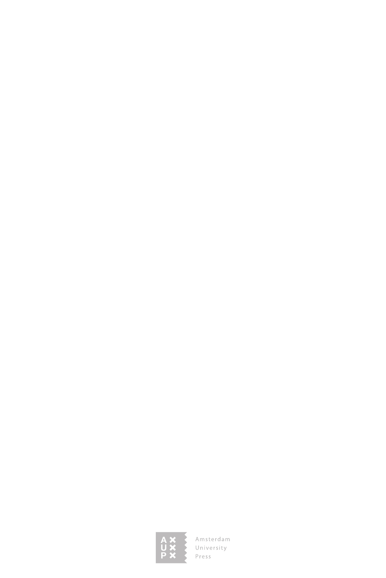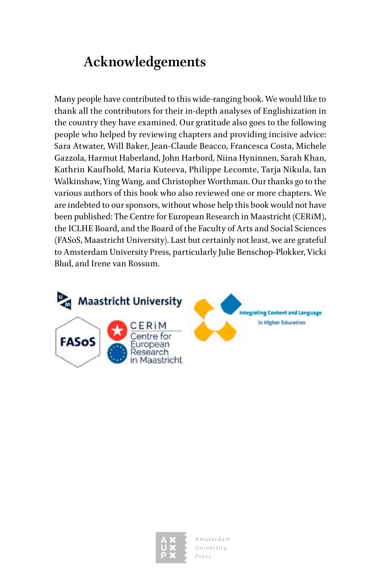### **Acknowledgements**

Many people have contributed to this wide-ranging book. We would like to thank all the contributors for their in-depth analyses of Englishization in the country they have examined. Our gratitude also goes to the following people who helped by reviewing chapters and providing incisive advice: Sara Atwater, Will Baker, Jean-Claude Beacco, Francesca Costa, Michele Gazzola, Harmut Haberland, John Harbord, Niina Hyninnen, Sarah Khan, Kathrin Kaufhold, Maria Kuteeva, Philippe Lecomte, Tarja Nikula, Ian Walkinshaw, Ying Wang, and Christopher Worthman. Our thanks go to the various authors of this book who also reviewed one or more chapters. We are indebted to our sponsors, without whose help this book would not have been published: The Centre for European Research in Maastricht (CERiM), the ICLHE Board, and the Board of the Faculty of Arts and Social Sciences (FASoS, Maastricht University). Last but certainly not least, we are grateful to Amsterdam University Press, particularly Julie Benschop-Plokker, Vicki Blud, and Irene van Rossum.



**Integrating Content and Language** in Higher Education

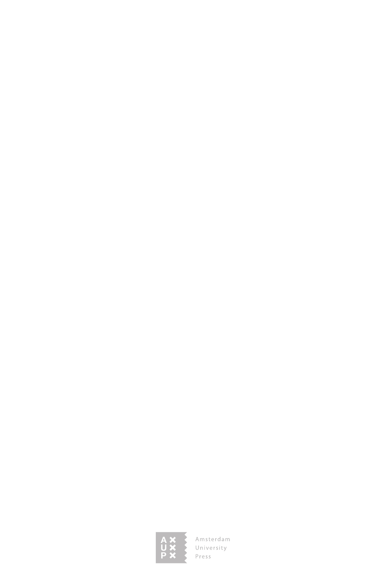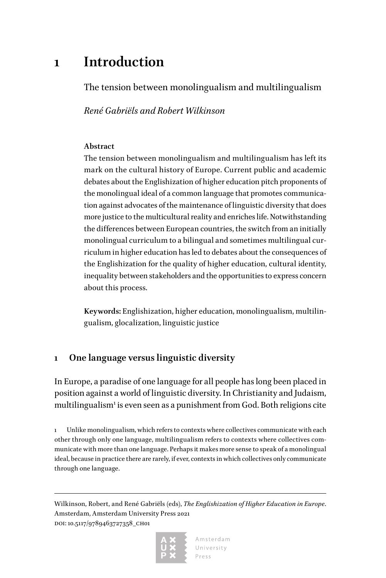### **1 Introduction**

The tension between monolingualism and multilingualism

*René Gabriëls and Robert Wilkinson*

#### **Abstract**

The tension between monolingualism and multilingualism has left its mark on the cultural history of Europe. Current public and academic debates about the Englishization of higher education pitch proponents of the monolingual ideal of a common language that promotes communication against advocates of the maintenance of linguistic diversity that does more justice to the multicultural reality and enriches life. Notwithstanding the differences between European countries, the switch from an initially monolingual curriculum to a bilingual and sometimes multilingual curriculum in higher education has led to debates about the consequences of the Englishization for the quality of higher education, cultural identity, inequality between stakeholders and the opportunities to express concern about this process.

**Keywords:** Englishization, higher education, monolingualism, multilingualism, glocalization, linguistic justice

#### **1 One language versus linguistic diversity**

In Europe, a paradise of one language for all people has long been placed in position against a world of linguistic diversity. In Christianity and Judaism, multilingualism<sup>1</sup> is even seen as a punishment from God. Both religions cite

Unlike monolingualism, which refers to contexts where collectives communicate with each other through only one language, multilingualism refers to contexts where collectives communicate with more than one language. Perhaps it makes more sense to speak of a monolingual ideal, because in practice there are rarely, if ever, contexts in which collectives only communicate through one language.

Wilkinson, Robert, and René Gabriëls (eds), *The Englishization of Higher Education in Europe*. Amsterdam, Amsterdam University Press 2021 DOI: 10.5117/9789463727358\_CH01

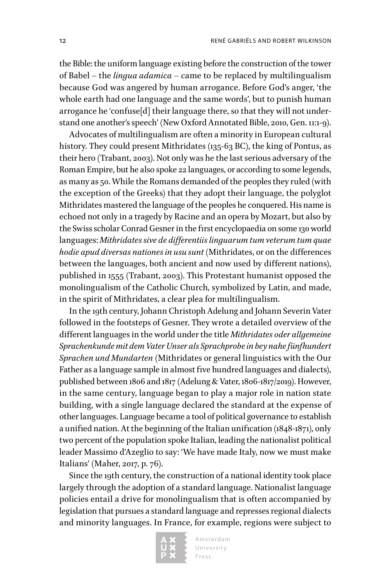the Bible: the uniform language existing before the construction of the tower of Babel – the *lingua adamica* – came to be replaced by multilingualism because God was angered by human arrogance. Before God's anger, 'the whole earth had one language and the same words', but to punish human arrogance he 'confuse[d] their language there, so that they will not understand one another's speech' (New Oxford Annotated Bible, 2010, Gen. 11:1-9).

Advocates of multilingualism are often a minority in European cultural history. They could present Mithridates (135-63 BC), the king of Pontus, as their hero (Trabant, 2003). Not only was he the last serious adversary of the Roman Empire, but he also spoke 22 languages, or according to some legends, as many as 50. While the Romans demanded of the peoples they ruled (with the exception of the Greeks) that they adopt their language, the polyglot Mithridates mastered the language of the peoples he conquered. His name is echoed not only in a tragedy by Racine and an opera by Mozart, but also by the Swiss scholar Conrad Gesner in the first encyclopaedia on some 130 world languages: *Mithridates sive de differentiis linguarum tum veterum tum quae hodie apud diversas nationes in usu sunt* (Mithridates, or on the differences between the languages, both ancient and now used by different nations), published in 1555 (Trabant, 2003). This Protestant humanist opposed the monolingualism of the Catholic Church, symbolized by Latin, and made, in the spirit of Mithridates, a clear plea for multilingualism.

In the 19th century, Johann Christoph Adelung and Johann Severin Vater followed in the footsteps of Gesner. They wrote a detailed overview of the different languages in the world under the title *Mithridates oder allgemeine Sprachenkunde mit dem Vater Unser als Sprachprobe in bey nahe fünfhundert Sprachen und Mundarten* (Mithridates or general linguistics with the Our Father as a language sample in almost five hundred languages and dialects), published between 1806 and 1817 (Adelung & Vater, 1806-1817/2019). However, in the same century, language began to play a major role in nation state building, with a single language declared the standard at the expense of other languages. Language became a tool of political governance to establish a unified nation. At the beginning of the Italian unification (1848-1871), only two percent of the population spoke Italian, leading the nationalist political leader Massimo d'Azeglio to say: 'We have made Italy, now we must make Italians' (Maher, 2017, p. 76).

Since the 19th century, the construction of a national identity took place largely through the adoption of a standard language. Nationalist language policies entail a drive for monolingualism that is often accompanied by legislation that pursues a standard language and represses regional dialects and minority languages. In France, for example, regions were subject to

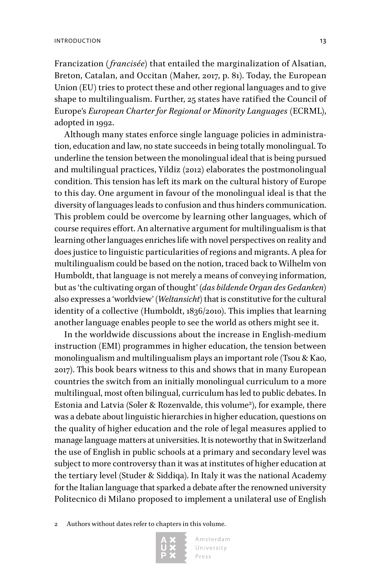Francization (*francisée*) that entailed the marginalization of Alsatian, Breton, Catalan, and Occitan (Maher, 2017, p. 81). Today, the European Union (EU) tries to protect these and other regional languages and to give shape to multilingualism. Further, 25 states have ratified the Council of Europe's *European Charter for Regional or Minority Languages* (ECRML), adopted in 1992.

Although many states enforce single language policies in administration, education and law, no state succeeds in being totally monolingual. To underline the tension between the monolingual ideal that is being pursued and multilingual practices, Yildiz (2012) elaborates the postmonolingual condition. This tension has left its mark on the cultural history of Europe to this day. One argument in favour of the monolingual ideal is that the diversity of languages leads to confusion and thus hinders communication. This problem could be overcome by learning other languages, which of course requires effort. An alternative argument for multilingualism is that learning other languages enriches life with novel perspectives on reality and does justice to linguistic particularities of regions and migrants. A plea for multilingualism could be based on the notion, traced back to Wilhelm von Humboldt, that language is not merely a means of conveying information, but as 'the cultivating organ of thought' (*das bildende Organ des Gedanken*) also expresses a 'worldview' (*Weltansicht*) that is constitutive for the cultural identity of a collective (Humboldt, 1836/2010). This implies that learning another language enables people to see the world as others might see it.

In the worldwide discussions about the increase in English-medium instruction (EMI) programmes in higher education, the tension between monolingualism and multilingualism plays an important role (Tsou & Kao, 2017). This book bears witness to this and shows that in many European countries the switch from an initially monolingual curriculum to a more multilingual, most often bilingual, curriculum has led to public debates. In Estonia and Latvia (Soler & Rozenvalde, this volume<sup>2</sup>), for example, there was a debate about linguistic hierarchies in higher education, questions on the quality of higher education and the role of legal measures applied to manage language matters at universities. It is noteworthy that in Switzerland the use of English in public schools at a primary and secondary level was subject to more controversy than it was at institutes of higher education at the tertiary level (Studer & Siddiqa). In Italy it was the national Academy for the Italian language that sparked a debate after the renowned university Politecnico di Milano proposed to implement a unilateral use of English

Authors without dates refer to chapters in this volume.

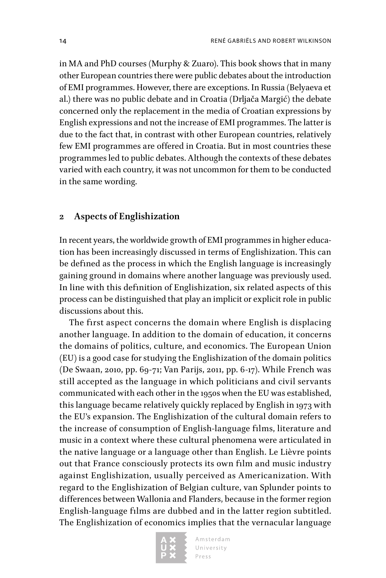in MA and PhD courses (Murphy & Zuaro). This book shows that in many other European countries there were public debates about the introduction of EMI programmes. However, there are exceptions. In Russia (Belyaeva et al.) there was no public debate and in Croatia (Drljača Margić) the debate concerned only the replacement in the media of Croatian expressions by English expressions and not the increase of EMI programmes. The latter is due to the fact that, in contrast with other European countries, relatively few EMI programmes are offered in Croatia. But in most countries these programmes led to public debates. Although the contexts of these debates varied with each country, it was not uncommon for them to be conducted in the same wording.

#### **2 Aspects of Englishization**

In recent years, the worldwide growth of EMI programmes in higher education has been increasingly discussed in terms of Englishization. This can be defined as the process in which the English language is increasingly gaining ground in domains where another language was previously used. In line with this definition of Englishization, six related aspects of this process can be distinguished that play an implicit or explicit role in public discussions about this.

The first aspect concerns the domain where English is displacing another language. In addition to the domain of education, it concerns the domains of politics, culture, and economics. The European Union (EU) is a good case for studying the Englishization of the domain politics (De Swaan, 2010, pp. 69-71; Van Parijs, 2011, pp. 6-17). While French was still accepted as the language in which politicians and civil servants communicated with each other in the 1950s when the EU was established, this language became relatively quickly replaced by English in 1973 with the EU's expansion. The Englishization of the cultural domain refers to the increase of consumption of English-language films, literature and music in a context where these cultural phenomena were articulated in the native language or a language other than English. Le Lièvre points out that France consciously protects its own film and music industry against Englishization, usually perceived as Americanization. With regard to the Englishization of Belgian culture, van Splunder points to differences between Wallonia and Flanders, because in the former region English-language films are dubbed and in the latter region subtitled. The Englishization of economics implies that the vernacular language

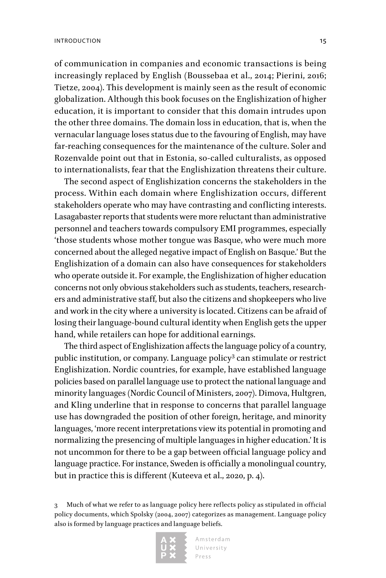of communication in companies and economic transactions is being increasingly replaced by English (Boussebaa et al., 2014; Pierini, 2016; Tietze, 2004). This development is mainly seen as the result of economic globalization. Although this book focuses on the Englishization of higher education, it is important to consider that this domain intrudes upon the other three domains. The domain loss in education, that is, when the vernacular language loses status due to the favouring of English, may have far-reaching consequences for the maintenance of the culture. Soler and Rozenvalde point out that in Estonia, so-called culturalists, as opposed to internationalists, fear that the Englishization threatens their culture.

The second aspect of Englishization concerns the stakeholders in the process. Within each domain where Englishization occurs, different stakeholders operate who may have contrasting and conflicting interests. Lasagabaster reports that students were more reluctant than administrative personnel and teachers towards compulsory EMI programmes, especially 'those students whose mother tongue was Basque, who were much more concerned about the alleged negative impact of English on Basque.' But the Englishization of a domain can also have consequences for stakeholders who operate outside it. For example, the Englishization of higher education concerns not only obvious stakeholders such as students, teachers, researchers and administrative staff, but also the citizens and shopkeepers who live and work in the city where a university is located. Citizens can be afraid of losing their language-bound cultural identity when English gets the upper hand, while retailers can hope for additional earnings.

The third aspect of Englishization affects the language policy of a country, public institution, or company. Language policy<sup>3</sup> can stimulate or restrict Englishization. Nordic countries, for example, have established language policies based on parallel language use to protect the national language and minority languages (Nordic Council of Ministers, 2007). Dimova, Hultgren, and Kling underline that in response to concerns that parallel language use has downgraded the position of other foreign, heritage, and minority languages, 'more recent interpretations view its potential in promoting and normalizing the presencing of multiple languages in higher education.' It is not uncommon for there to be a gap between official language policy and language practice. For instance, Sweden is officially a monolingual country, but in practice this is different (Kuteeva et al., 2020, p. 4).

3 Much of what we refer to as language policy here reflects policy as stipulated in official policy documents, which Spolsky (2004, 2007) categorizes as management. Language policy also is formed by language practices and language beliefs.

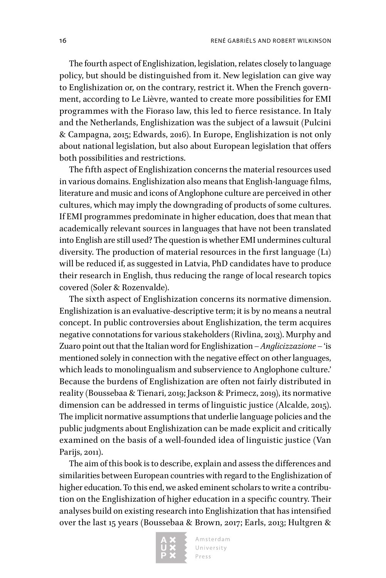The fourth aspect of Englishization, legislation, relates closely to language policy, but should be distinguished from it. New legislation can give way to Englishization or, on the contrary, restrict it. When the French government, according to Le Lièvre, wanted to create more possibilities for EMI programmes with the Fioraso law, this led to fierce resistance. In Italy and the Netherlands, Englishization was the subject of a lawsuit (Pulcini & Campagna, 2015; Edwards, 2016). In Europe, Englishization is not only about national legislation, but also about European legislation that offers both possibilities and restrictions.

The fifth aspect of Englishization concerns the material resources used in various domains. Englishization also means that English-language films, literature and music and icons of Anglophone culture are perceived in other cultures, which may imply the downgrading of products of some cultures. If EMI programmes predominate in higher education, does that mean that academically relevant sources in languages that have not been translated into English are still used? The question is whether EMI undermines cultural diversity. The production of material resources in the first language (L1) will be reduced if, as suggested in Latvia, PhD candidates have to produce their research in English, thus reducing the range of local research topics covered (Soler & Rozenvalde).

The sixth aspect of Englishization concerns its normative dimension. Englishization is an evaluative-descriptive term; it is by no means a neutral concept. In public controversies about Englishization, the term acquires negative connotations for various stakeholders (Rivlina, 2013). Murphy and Zuaro point out that the Italian word for Englishization – *Anglicizzazione* – 'is mentioned solely in connection with the negative effect on other languages, which leads to monolingualism and subservience to Anglophone culture.' Because the burdens of Englishization are often not fairly distributed in reality (Boussebaa & Tienari, 2019; Jackson & Primecz, 2019), its normative dimension can be addressed in terms of linguistic justice (Alcalde, 2015). The implicit normative assumptions that underlie language policies and the public judgments about Englishization can be made explicit and critically examined on the basis of a well-founded idea of linguistic justice (Van Parijs, 2011).

The aim of this book is to describe, explain and assess the differences and similarities between European countries with regard to the Englishization of higher education. To this end, we asked eminent scholars to write a contribution on the Englishization of higher education in a specific country. Their analyses build on existing research into Englishization that has intensified over the last 15 years (Boussebaa & Brown, 2017; Earls, 2013; Hultgren &

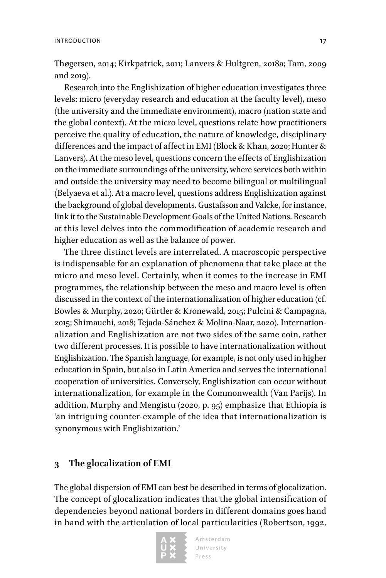Thøgersen, 2014; Kirkpatrick, 2011; Lanvers & Hultgren, 2018a; Tam, 2009 and 2019).

Research into the Englishization of higher education investigates three levels: micro (everyday research and education at the faculty level), meso (the university and the immediate environment), macro (nation state and the global context). At the micro level, questions relate how practitioners perceive the quality of education, the nature of knowledge, disciplinary differences and the impact of affect in EMI (Block & Khan, 2020; Hunter & Lanvers). At the meso level, questions concern the effects of Englishization on the immediate surroundings of the university, where services both within and outside the university may need to become bilingual or multilingual (Belyaeva et al.). At a macro level, questions address Englishization against the background of global developments. Gustafsson and Valcke, for instance, link it to the Sustainable Development Goals of the United Nations. Research at this level delves into the commodification of academic research and higher education as well as the balance of power.

The three distinct levels are interrelated. A macroscopic perspective is indispensable for an explanation of phenomena that take place at the micro and meso level. Certainly, when it comes to the increase in EMI programmes, the relationship between the meso and macro level is often discussed in the context of the internationalization of higher education (cf. Bowles & Murphy, 2020; Gürtler & Kronewald, 2015; Pulcini & Campagna, 2015; Shimauchi, 2018; Tejada-Sánchez & Molina-Naar, 2020). Internationalization and Englishization are not two sides of the same coin, rather two different processes. It is possible to have internationalization without Englishization. The Spanish language, for example, is not only used in higher education in Spain, but also in Latin America and serves the international cooperation of universities. Conversely, Englishization can occur without internationalization, for example in the Commonwealth (Van Parijs). In addition, Murphy and Mengistu (2020, p. 95) emphasize that Ethiopia is 'an intriguing counter-example of the idea that internationalization is synonymous with Englishization.'

#### **3 The glocalization of EMI**

The global dispersion of EMI can best be described in terms of glocalization. The concept of glocalization indicates that the global intensification of dependencies beyond national borders in different domains goes hand in hand with the articulation of local particularities (Robertson, 1992,

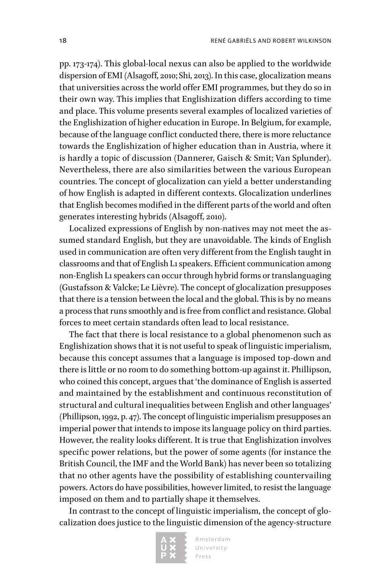pp. 173-174). This global-local nexus can also be applied to the worldwide dispersion of EMI (Alsagoff, 2010; Shi, 2013). In this case, glocalization means that universities across the world offer EMI programmes, but they do so in their own way. This implies that Englishization differs according to time and place. This volume presents several examples of localized varieties of the Englishization of higher education in Europe. In Belgium, for example, because of the language conflict conducted there, there is more reluctance towards the Englishization of higher education than in Austria, where it is hardly a topic of discussion (Dannerer, Gaisch & Smit; Van Splunder). Nevertheless, there are also similarities between the various European countries. The concept of glocalization can yield a better understanding of how English is adapted in different contexts. Glocalization underlines that English becomes modified in the different parts of the world and often generates interesting hybrids (Alsagoff, 2010).

Localized expressions of English by non-natives may not meet the assumed standard English, but they are unavoidable. The kinds of English used in communication are often very different from the English taught in classrooms and that of English L1 speakers. Efficient communication among non-English L1 speakers can occur through hybrid forms or translanguaging (Gustafsson & Valcke; Le Lièvre). The concept of glocalization presupposes that there is a tension between the local and the global. This is by no means a process that runs smoothly and is free from conflict and resistance. Global forces to meet certain standards often lead to local resistance.

The fact that there is local resistance to a global phenomenon such as Englishization shows that it is not useful to speak of linguistic imperialism, because this concept assumes that a language is imposed top-down and there is little or no room to do something bottom-up against it. Phillipson, who coined this concept, argues that 'the dominance of English is asserted and maintained by the establishment and continuous reconstitution of structural and cultural inequalities between English and other languages' (Phillipson, 1992, p. 47). The concept of linguistic imperialism presupposes an imperial power that intends to impose its language policy on third parties. However, the reality looks different. It is true that Englishization involves specific power relations, but the power of some agents (for instance the British Council, the IMF and the World Bank) has never been so totalizing that no other agents have the possibility of establishing countervailing powers. Actors do have possibilities, however limited, to resist the language imposed on them and to partially shape it themselves.

In contrast to the concept of linguistic imperialism, the concept of glocalization does justice to the linguistic dimension of the agency-structure

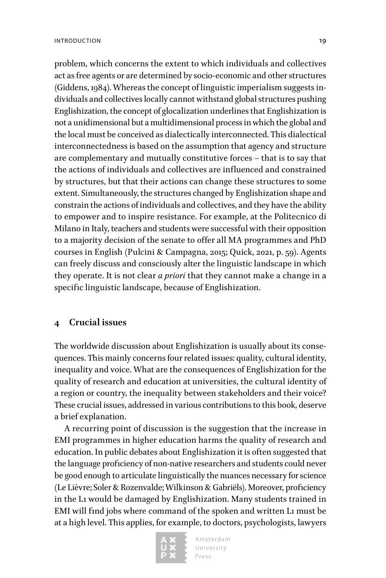problem, which concerns the extent to which individuals and collectives act as free agents or are determined by socio-economic and other structures (Giddens, 1984). Whereas the concept of linguistic imperialism suggests individuals and collectives locally cannot withstand global structures pushing Englishization, the concept of glocalization underlines that Englishization is not a unidimensional but a multidimensional process in which the global and the local must be conceived as dialectically interconnected. This dialectical interconnectedness is based on the assumption that agency and structure are complementary and mutually constitutive forces – that is to say that the actions of individuals and collectives are influenced and constrained by structures, but that their actions can change these structures to some extent. Simultaneously, the structures changed by Englishization shape and constrain the actions of individuals and collectives, and they have the ability to empower and to inspire resistance. For example, at the Politecnico di Milano in Italy, teachers and students were successful with their opposition to a majority decision of the senate to offer all MA programmes and PhD courses in English (Pulcini & Campagna, 2015; Quick, 2021, p. 59). Agents can freely discuss and consciously alter the linguistic landscape in which they operate. It is not clear *a priori* that they cannot make a change in a specific linguistic landscape, because of Englishization.

#### **4 Crucial issues**

The worldwide discussion about Englishization is usually about its consequences. This mainly concerns four related issues: quality, cultural identity, inequality and voice. What are the consequences of Englishization for the quality of research and education at universities, the cultural identity of a region or country, the inequality between stakeholders and their voice? These crucial issues, addressed in various contributions to this book, deserve a brief explanation.

A recurring point of discussion is the suggestion that the increase in EMI programmes in higher education harms the quality of research and education. In public debates about Englishization it is often suggested that the language proficiency of non-native researchers and students could never be good enough to articulate linguistically the nuances necessary for science (Le Lièvre; Soler & Rozenvalde; Wilkinson & Gabriëls). Moreover, proficiency in the L1 would be damaged by Englishization. Many students trained in EMI will find jobs where command of the spoken and written L1 must be at a high level. This applies, for example, to doctors, psychologists, lawyers

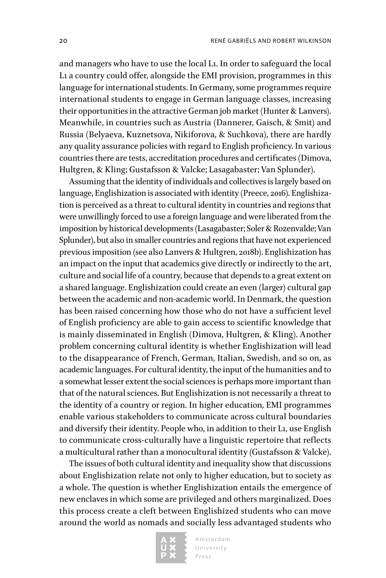and managers who have to use the local L1. In order to safeguard the local L1 a country could offer, alongside the EMI provision, programmes in this language for international students. In Germany, some programmes require international students to engage in German language classes, increasing their opportunities in the attractive German job market (Hunter & Lanvers). Meanwhile, in countries such as Austria (Dannerer, Gaisch, & Smit) and Russia (Belyaeva, Kuznetsova, Nikiforova, & Suchkova), there are hardly any quality assurance policies with regard to English proficiency. In various countries there are tests, accreditation procedures and certificates (Dimova, Hultgren, & Kling; Gustafsson & Valcke; Lasagabaster; Van Splunder).

Assuming that the identity of individuals and collectives is largely based on language, Englishization is associated with identity (Preece, 2016). Englishization is perceived as a threat to cultural identity in countries and regions that were unwillingly forced to use a foreign language and were liberated from the imposition by historical developments (Lasagabaster; Soler & Rozenvalde; Van Splunder), but also in smaller countries and regions that have not experienced previous imposition (see also Lanvers & Hultgren, 2018b). Englishization has an impact on the input that academics give directly or indirectly to the art, culture and social life of a country, because that depends to a great extent on a shared language. Englishization could create an even (larger) cultural gap between the academic and non-academic world. In Denmark, the question has been raised concerning how those who do not have a sufficient level of English proficiency are able to gain access to scientific knowledge that is mainly disseminated in English (Dimova, Hultgren, & Kling). Another problem concerning cultural identity is whether Englishization will lead to the disappearance of French, German, Italian, Swedish, and so on, as academic languages. For cultural identity, the input of the humanities and to a somewhat lesser extent the social sciences is perhaps more important than that of the natural sciences. But Englishization is not necessarily a threat to the identity of a country or region. In higher education, EMI programmes enable various stakeholders to communicate across cultural boundaries and diversify their identity. People who, in addition to their L1, use English to communicate cross-culturally have a linguistic repertoire that reflects a multicultural rather than a monocultural identity (Gustafsson & Valcke).

The issues of both cultural identity and inequality show that discussions about Englishization relate not only to higher education, but to society as a whole. The question is whether Englishization entails the emergence of new enclaves in which some are privileged and others marginalized. Does this process create a cleft between Englishized students who can move around the world as nomads and socially less advantaged students who

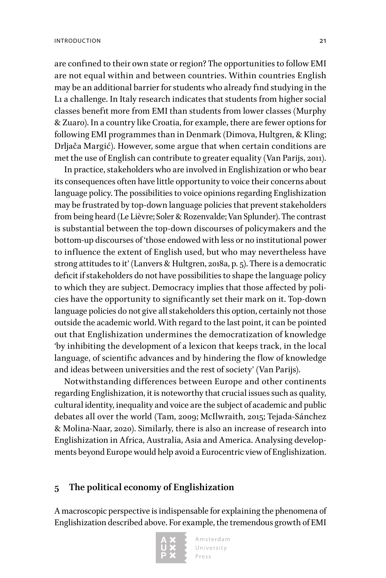are confined to their own state or region? The opportunities to follow EMI are not equal within and between countries. Within countries English may be an additional barrier for students who already find studying in the L1 a challenge. In Italy research indicates that students from higher social classes benefit more from EMI than students from lower classes (Murphy & Zuaro). In a country like Croatia, for example, there are fewer options for following EMI programmes than in Denmark (Dimova, Hultgren, & Kling; Drljača Margić). However, some argue that when certain conditions are met the use of English can contribute to greater equality (Van Parijs, 2011).

In practice, stakeholders who are involved in Englishization or who bear its consequences often have little opportunity to voice their concerns about language policy. The possibilities to voice opinions regarding Englishization may be frustrated by top-down language policies that prevent stakeholders from being heard (Le Lièvre; Soler & Rozenvalde; Van Splunder). The contrast is substantial between the top-down discourses of policymakers and the bottom-up discourses of 'those endowed with less or no institutional power to influence the extent of English used, but who may nevertheless have strong attitudes to it' (Lanvers & Hultgren, 2018a, p. 5). There is a democratic deficit if stakeholders do not have possibilities to shape the language policy to which they are subject. Democracy implies that those affected by policies have the opportunity to significantly set their mark on it. Top-down language policies do not give all stakeholders this option, certainly not those outside the academic world. With regard to the last point, it can be pointed out that Englishization undermines the democratization of knowledge 'by inhibiting the development of a lexicon that keeps track, in the local language, of scientific advances and by hindering the flow of knowledge and ideas between universities and the rest of society' (Van Parijs).

Notwithstanding differences between Europe and other continents regarding Englishization, it is noteworthy that crucial issues such as quality, cultural identity, inequality and voice are the subject of academic and public debates all over the world (Tam, 2009; McIlwraith, 2015; Tejada-Sánchez & Molina-Naar, 2020). Similarly, there is also an increase of research into Englishization in Africa, Australia, Asia and America. Analysing developments beyond Europe would help avoid a Eurocentric view of Englishization.

#### **5 The political economy of Englishization**

A macroscopic perspective is indispensable for explaining the phenomena of Englishization described above. For example, the tremendous growth of EMI

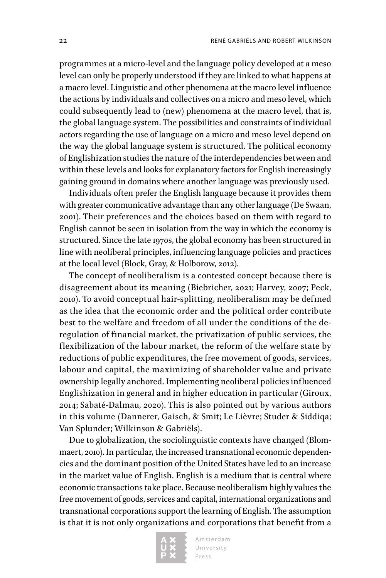programmes at a micro-level and the language policy developed at a meso level can only be properly understood if they are linked to what happens at a macro level. Linguistic and other phenomena at the macro level influence the actions by individuals and collectives on a micro and meso level, which could subsequently lead to (new) phenomena at the macro level, that is, the global language system. The possibilities and constraints of individual actors regarding the use of language on a micro and meso level depend on the way the global language system is structured. The political economy of Englishization studies the nature of the interdependencies between and within these levels and looks for explanatory factors for English increasingly gaining ground in domains where another language was previously used.

Individuals often prefer the English language because it provides them with greater communicative advantage than any other language (De Swaan, 2001). Their preferences and the choices based on them with regard to English cannot be seen in isolation from the way in which the economy is structured. Since the late 1970s, the global economy has been structured in line with neoliberal principles, influencing language policies and practices at the local level (Block, Gray, & Holborow, 2012).

The concept of neoliberalism is a contested concept because there is disagreement about its meaning (Biebricher, 2021; Harvey, 2007; Peck, 2010). To avoid conceptual hair-splitting, neoliberalism may be defined as the idea that the economic order and the political order contribute best to the welfare and freedom of all under the conditions of the deregulation of financial market, the privatization of public services, the flexibilization of the labour market, the reform of the welfare state by reductions of public expenditures, the free movement of goods, services, labour and capital, the maximizing of shareholder value and private ownership legally anchored. Implementing neoliberal policies influenced Englishization in general and in higher education in particular (Giroux, 2014; Sabaté-Dalmau, 2020). This is also pointed out by various authors in this volume (Dannerer, Gaisch, & Smit; Le Lièvre; Studer & Siddiqa; Van Splunder; Wilkinson & Gabriëls).

Due to globalization, the sociolinguistic contexts have changed (Blommaert, 2010). In particular, the increased transnational economic dependencies and the dominant position of the United States have led to an increase in the market value of English. English is a medium that is central where economic transactions take place. Because neoliberalism highly values the free movement of goods, services and capital, international organizations and transnational corporations support the learning of English. The assumption is that it is not only organizations and corporations that benefit from a

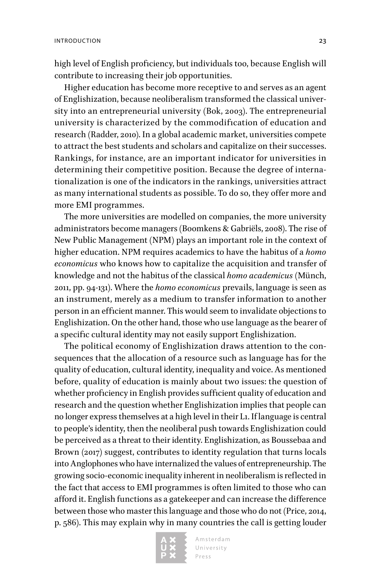high level of English proficiency, but individuals too, because English will contribute to increasing their job opportunities.

Higher education has become more receptive to and serves as an agent of Englishization, because neoliberalism transformed the classical university into an entrepreneurial university (Bok, 2003). The entrepreneurial university is characterized by the commodification of education and research (Radder, 2010). In a global academic market, universities compete to attract the best students and scholars and capitalize on their successes. Rankings, for instance, are an important indicator for universities in determining their competitive position. Because the degree of internationalization is one of the indicators in the rankings, universities attract as many international students as possible. To do so, they offer more and more EMI programmes.

The more universities are modelled on companies, the more university administrators become managers (Boomkens & Gabriëls, 2008). The rise of New Public Management (NPM) plays an important role in the context of higher education. NPM requires academics to have the habitus of a *homo economicus* who knows how to capitalize the acquisition and transfer of knowledge and not the habitus of the classical *homo academicus* (Münch, 2011, pp. 94-131). Where the *homo economicus* prevails, language is seen as an instrument, merely as a medium to transfer information to another person in an efficient manner. This would seem to invalidate objections to Englishization. On the other hand, those who use language as the bearer of a specific cultural identity may not easily support Englishization.

The political economy of Englishization draws attention to the consequences that the allocation of a resource such as language has for the quality of education, cultural identity, inequality and voice. As mentioned before, quality of education is mainly about two issues: the question of whether proficiency in English provides sufficient quality of education and research and the question whether Englishization implies that people can no longer express themselves at a high level in their L1. If language is central to people's identity, then the neoliberal push towards Englishization could be perceived as a threat to their identity. Englishization, as Boussebaa and Brown (2017) suggest, contributes to identity regulation that turns locals into Anglophones who have internalized the values of entrepreneurship. The growing socio-economic inequality inherent in neoliberalism is reflected in the fact that access to EMI programmes is often limited to those who can afford it. English functions as a gatekeeper and can increase the difference between those who master this language and those who do not (Price, 2014, p. 586). This may explain why in many countries the call is getting louder

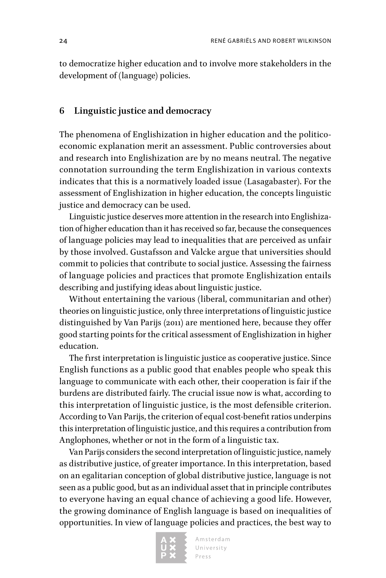to democratize higher education and to involve more stakeholders in the development of (language) policies.

#### **6 Linguistic justice and democracy**

The phenomena of Englishization in higher education and the politicoeconomic explanation merit an assessment. Public controversies about and research into Englishization are by no means neutral. The negative connotation surrounding the term Englishization in various contexts indicates that this is a normatively loaded issue (Lasagabaster). For the assessment of Englishization in higher education, the concepts linguistic justice and democracy can be used.

Linguistic justice deserves more attention in the research into Englishization of higher education than it has received so far, because the consequences of language policies may lead to inequalities that are perceived as unfair by those involved. Gustafsson and Valcke argue that universities should commit to policies that contribute to social justice. Assessing the fairness of language policies and practices that promote Englishization entails describing and justifying ideas about linguistic justice.

Without entertaining the various (liberal, communitarian and other) theories on linguistic justice, only three interpretations of linguistic justice distinguished by Van Parijs (2011) are mentioned here, because they offer good starting points for the critical assessment of Englishization in higher education.

The first interpretation is linguistic justice as cooperative justice. Since English functions as a public good that enables people who speak this language to communicate with each other, their cooperation is fair if the burdens are distributed fairly. The crucial issue now is what, according to this interpretation of linguistic justice, is the most defensible criterion. According to Van Parijs, the criterion of equal cost-benefit ratios underpins this interpretation of linguistic justice, and this requires a contribution from Anglophones, whether or not in the form of a linguistic tax.

Van Parijs considers the second interpretation of linguistic justice, namely as distributive justice, of greater importance. In this interpretation, based on an egalitarian conception of global distributive justice, language is not seen as a public good, but as an individual asset that in principle contributes to everyone having an equal chance of achieving a good life. However, the growing dominance of English language is based on inequalities of opportunities. In view of language policies and practices, the best way to

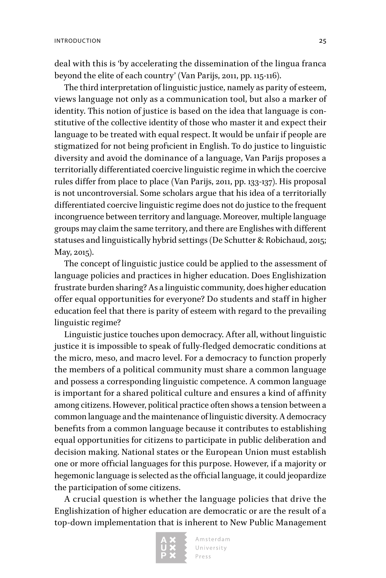deal with this is 'by accelerating the dissemination of the lingua franca beyond the elite of each country' (Van Parijs, 2011, pp. 115-116).

The third interpretation of linguistic justice, namely as parity of esteem, views language not only as a communication tool, but also a marker of identity. This notion of justice is based on the idea that language is constitutive of the collective identity of those who master it and expect their language to be treated with equal respect. It would be unfair if people are stigmatized for not being proficient in English. To do justice to linguistic diversity and avoid the dominance of a language, Van Parijs proposes a territorially differentiated coercive linguistic regime in which the coercive rules differ from place to place (Van Parijs, 2011, pp. 133-137). His proposal is not uncontroversial. Some scholars argue that his idea of a territorially differentiated coercive linguistic regime does not do justice to the frequent incongruence between territory and language. Moreover, multiple language groups may claim the same territory, and there are Englishes with different statuses and linguistically hybrid settings (De Schutter & Robichaud, 2015; May, 2015).

The concept of linguistic justice could be applied to the assessment of language policies and practices in higher education. Does Englishization frustrate burden sharing? As a linguistic community, does higher education offer equal opportunities for everyone? Do students and staff in higher education feel that there is parity of esteem with regard to the prevailing linguistic regime?

Linguistic justice touches upon democracy. After all, without linguistic justice it is impossible to speak of fully-fledged democratic conditions at the micro, meso, and macro level. For a democracy to function properly the members of a political community must share a common language and possess a corresponding linguistic competence. A common language is important for a shared political culture and ensures a kind of affinity among citizens. However, political practice often shows a tension between a common language and the maintenance of linguistic diversity. A democracy benefits from a common language because it contributes to establishing equal opportunities for citizens to participate in public deliberation and decision making. National states or the European Union must establish one or more official languages for this purpose. However, if a majority or hegemonic language is selected as the official language, it could jeopardize the participation of some citizens.

A crucial question is whether the language policies that drive the Englishization of higher education are democratic or are the result of a top-down implementation that is inherent to New Public Management

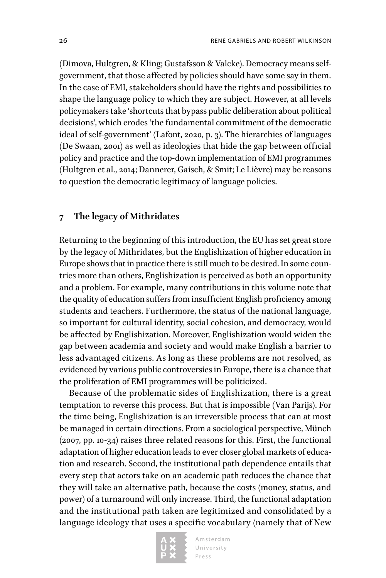(Dimova, Hultgren, & Kling; Gustafsson & Valcke). Democracy means selfgovernment, that those affected by policies should have some say in them. In the case of EMI, stakeholders should have the rights and possibilities to shape the language policy to which they are subject. However, at all levels policymakers take 'shortcuts that bypass public deliberation about political decisions', which erodes 'the fundamental commitment of the democratic ideal of self-government' (Lafont, 2020, p. 3). The hierarchies of languages (De Swaan, 2001) as well as ideologies that hide the gap between official policy and practice and the top-down implementation of EMI programmes (Hultgren et al., 2014; Dannerer, Gaisch, & Smit; Le Lièvre) may be reasons to question the democratic legitimacy of language policies.

#### **7 The legacy of Mithridates**

Returning to the beginning of this introduction, the EU has set great store by the legacy of Mithridates, but the Englishization of higher education in Europe shows that in practice there is still much to be desired. In some countries more than others, Englishization is perceived as both an opportunity and a problem. For example, many contributions in this volume note that the quality of education suffers from insufficient English proficiency among students and teachers. Furthermore, the status of the national language, so important for cultural identity, social cohesion, and democracy, would be affected by Englishization. Moreover, Englishization would widen the gap between academia and society and would make English a barrier to less advantaged citizens. As long as these problems are not resolved, as evidenced by various public controversies in Europe, there is a chance that the proliferation of EMI programmes will be politicized.

Because of the problematic sides of Englishization, there is a great temptation to reverse this process. But that is impossible (Van Parijs). For the time being, Englishization is an irreversible process that can at most be managed in certain directions. From a sociological perspective, Münch (2007, pp. 10-34) raises three related reasons for this. First, the functional adaptation of higher education leads to ever closer global markets of education and research. Second, the institutional path dependence entails that every step that actors take on an academic path reduces the chance that they will take an alternative path, because the costs (money, status, and power) of a turnaround will only increase. Third, the functional adaptation and the institutional path taken are legitimized and consolidated by a language ideology that uses a specific vocabulary (namely that of New

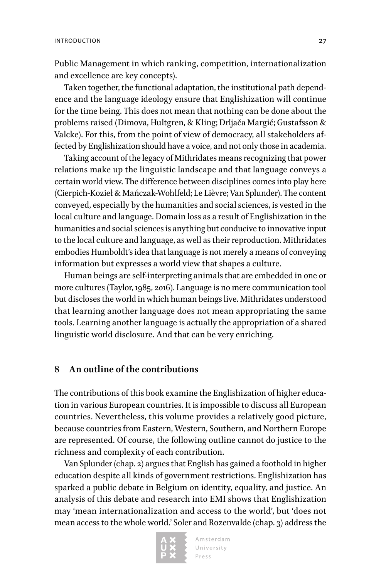Public Management in which ranking, competition, internationalization and excellence are key concepts).

Taken together, the functional adaptation, the institutional path dependence and the language ideology ensure that Englishization will continue for the time being. This does not mean that nothing can be done about the problems raised (Dimova, Hultgren, & Kling; Drljača Margić; Gustafsson & Valcke). For this, from the point of view of democracy, all stakeholders affected by Englishization should have a voice, and not only those in academia.

Taking account of the legacy of Mithridates means recognizing that power relations make up the linguistic landscape and that language conveys a certain world view. The difference between disciplines comes into play here (Cierpich-Kozieł & Mańczak-Wohlfeld; Le Lièvre; Van Splunder). The content conveyed, especially by the humanities and social sciences, is vested in the local culture and language. Domain loss as a result of Englishization in the humanities and social sciences is anything but conducive to innovative input to the local culture and language, as well as their reproduction. Mithridates embodies Humboldt's idea that language is not merely a means of conveying information but expresses a world view that shapes a culture.

Human beings are self-interpreting animals that are embedded in one or more cultures (Taylor, 1985, 2016). Language is no mere communication tool but discloses the world in which human beings live. Mithridates understood that learning another language does not mean appropriating the same tools. Learning another language is actually the appropriation of a shared linguistic world disclosure. And that can be very enriching.

#### **8 An outline of the contributions**

The contributions of this book examine the Englishization of higher education in various European countries. It is impossible to discuss all European countries. Nevertheless, this volume provides a relatively good picture, because countries from Eastern, Western, Southern, and Northern Europe are represented. Of course, the following outline cannot do justice to the richness and complexity of each contribution.

Van Splunder (chap. 2) argues that English has gained a foothold in higher education despite all kinds of government restrictions. Englishization has sparked a public debate in Belgium on identity, equality, and justice. An analysis of this debate and research into EMI shows that Englishization may 'mean internationalization and access to the world', but 'does not mean access to the whole world.' Soler and Rozenvalde (chap. 3) address the

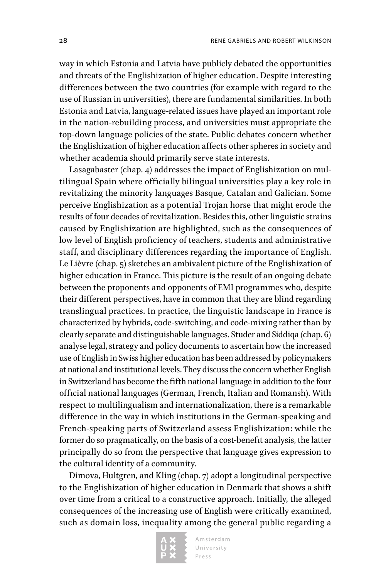way in which Estonia and Latvia have publicly debated the opportunities and threats of the Englishization of higher education. Despite interesting differences between the two countries (for example with regard to the use of Russian in universities), there are fundamental similarities. In both Estonia and Latvia, language-related issues have played an important role in the nation-rebuilding process, and universities must appropriate the top-down language policies of the state. Public debates concern whether the Englishization of higher education affects other spheres in society and whether academia should primarily serve state interests.

Lasagabaster (chap. 4) addresses the impact of Englishization on multilingual Spain where officially bilingual universities play a key role in revitalizing the minority languages Basque, Catalan and Galician. Some perceive Englishization as a potential Trojan horse that might erode the results of four decades of revitalization. Besides this, other linguistic strains caused by Englishization are highlighted, such as the consequences of low level of English proficiency of teachers, students and administrative staff, and disciplinary differences regarding the importance of English. Le Lièvre (chap. 5) sketches an ambivalent picture of the Englishization of higher education in France. This picture is the result of an ongoing debate between the proponents and opponents of EMI programmes who, despite their different perspectives, have in common that they are blind regarding translingual practices. In practice, the linguistic landscape in France is characterized by hybrids, code-switching, and code-mixing rather than by clearly separate and distinguishable languages. Studer and Siddiqa (chap. 6) analyse legal, strategy and policy documents to ascertain how the increased use of English in Swiss higher education has been addressed by policymakers at national and institutional levels. They discuss the concern whether English in Switzerland has become the fifth national language in addition to the four official national languages (German, French, Italian and Romansh). With respect to multilingualism and internationalization, there is a remarkable difference in the way in which institutions in the German-speaking and French-speaking parts of Switzerland assess Englishization: while the former do so pragmatically, on the basis of a cost-benefit analysis, the latter principally do so from the perspective that language gives expression to the cultural identity of a community.

Dimova, Hultgren, and Kling (chap. 7) adopt a longitudinal perspective to the Englishization of higher education in Denmark that shows a shift over time from a critical to a constructive approach. Initially, the alleged consequences of the increasing use of English were critically examined, such as domain loss, inequality among the general public regarding a

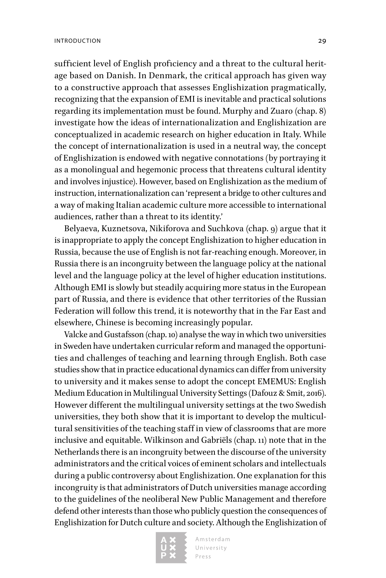sufficient level of English proficiency and a threat to the cultural heritage based on Danish. In Denmark, the critical approach has given way to a constructive approach that assesses Englishization pragmatically, recognizing that the expansion of EMI is inevitable and practical solutions regarding its implementation must be found. Murphy and Zuaro (chap. 8) investigate how the ideas of internationalization and Englishization are conceptualized in academic research on higher education in Italy. While the concept of internationalization is used in a neutral way, the concept of Englishization is endowed with negative connotations (by portraying it as a monolingual and hegemonic process that threatens cultural identity and involves injustice). However, based on Englishization as the medium of instruction, internationalization can 'represent a bridge to other cultures and a way of making Italian academic culture more accessible to international audiences, rather than a threat to its identity.'

Belyaeva, Kuznetsova, Nikiforova and Suchkova (chap. 9) argue that it is inappropriate to apply the concept Englishization to higher education in Russia, because the use of English is not far-reaching enough. Moreover, in Russia there is an incongruity between the language policy at the national level and the language policy at the level of higher education institutions. Although EMI is slowly but steadily acquiring more status in the European part of Russia, and there is evidence that other territories of the Russian Federation will follow this trend, it is noteworthy that in the Far East and elsewhere, Chinese is becoming increasingly popular.

Valcke and Gustafsson (chap. 10) analyse the way in which two universities in Sweden have undertaken curricular reform and managed the opportunities and challenges of teaching and learning through English. Both case studies show that in practice educational dynamics can differ from university to university and it makes sense to adopt the concept EMEMUS: English Medium Education in Multilingual University Settings (Dafouz & Smit, 2016). However different the multilingual university settings at the two Swedish universities, they both show that it is important to develop the multicultural sensitivities of the teaching staff in view of classrooms that are more inclusive and equitable. Wilkinson and Gabriëls (chap. 11) note that in the Netherlands there is an incongruity between the discourse of the university administrators and the critical voices of eminent scholars and intellectuals during a public controversy about Englishization. One explanation for this incongruity is that administrators of Dutch universities manage according to the guidelines of the neoliberal New Public Management and therefore defend other interests than those who publicly question the consequences of Englishization for Dutch culture and society. Although the Englishization of

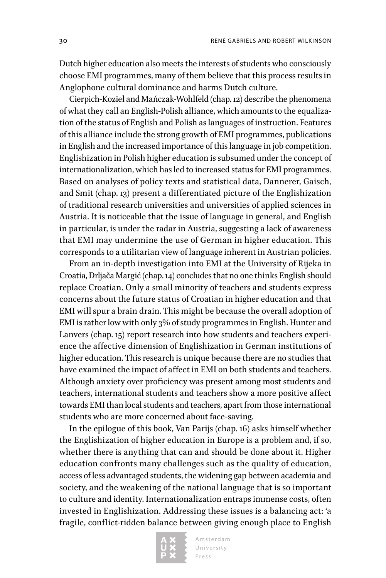Dutch higher education also meets the interests of students who consciously choose EMI programmes, many of them believe that this process results in Anglophone cultural dominance and harms Dutch culture.

Cierpich-Kozieł and Mańczak-Wohlfeld (chap. 12) describe the phenomena of what they call an English-Polish alliance, which amounts to the equalization of the status of English and Polish as languages of instruction. Features of this alliance include the strong growth of EMI programmes, publications in English and the increased importance of this language in job competition. Englishization in Polish higher education is subsumed under the concept of internationalization, which has led to increased status for EMI programmes. Based on analyses of policy texts and statistical data, Dannerer, Gaisch, and Smit (chap. 13) present a differentiated picture of the Englishization of traditional research universities and universities of applied sciences in Austria. It is noticeable that the issue of language in general, and English in particular, is under the radar in Austria, suggesting a lack of awareness that EMI may undermine the use of German in higher education. This corresponds to a utilitarian view of language inherent in Austrian policies.

From an in-depth investigation into EMI at the University of Rijeka in Croatia, Drljača Margić (chap. 14) concludes that no one thinks English should replace Croatian. Only a small minority of teachers and students express concerns about the future status of Croatian in higher education and that EMI will spur a brain drain. This might be because the overall adoption of EMI is rather low with only 3% of study programmes in English. Hunter and Lanvers (chap. 15) report research into how students and teachers experience the affective dimension of Englishization in German institutions of higher education. This research is unique because there are no studies that have examined the impact of affect in EMI on both students and teachers. Although anxiety over proficiency was present among most students and teachers, international students and teachers show a more positive affect towards EMI than local students and teachers, apart from those international students who are more concerned about face-saving.

In the epilogue of this book, Van Parijs (chap. 16) asks himself whether the Englishization of higher education in Europe is a problem and, if so, whether there is anything that can and should be done about it. Higher education confronts many challenges such as the quality of education, access of less advantaged students, the widening gap between academia and society, and the weakening of the national language that is so important to culture and identity. Internationalization entraps immense costs, often invested in Englishization. Addressing these issues is a balancing act: 'a fragile, conflict-ridden balance between giving enough place to English

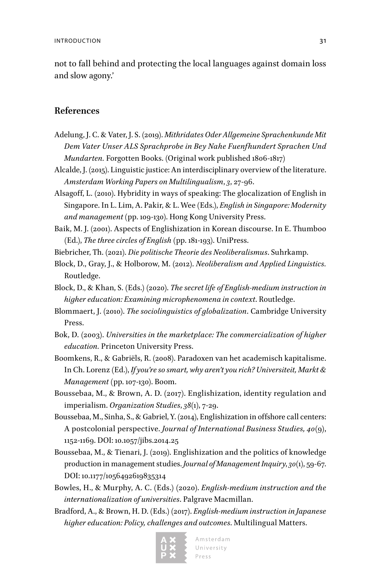not to fall behind and protecting the local languages against domain loss and slow agony.'

#### **References**

- Adelung, J. C. & Vater, J. S. (2019). *Mithridates Oder Allgemeine Sprachenkunde Mit Dem Vater Unser ALS Sprachprobe in Bey Nahe Fuenfhundert Sprachen Und Mundarten.* Forgotten Books. (Original work published 1806-1817)
- Alcalde, J. (2015). Linguistic justice: An interdisciplinary overview of the literature. *Amsterdam Working Papers on Multilingualism*, *3*, 27-96.
- Alsagoff, L. (2010). Hybridity in ways of speaking: The glocalization of English in Singapore. In L. Lim, A. Pakir, & L. Wee (Eds.), *English in Singapore: Modernity and management* (pp. 109-130). Hong Kong University Press.
- Baik, M. J. (2001). Aspects of Englishization in Korean discourse. In E. Thumboo (Ed.), *The three circles of English* (pp. 181-193). UniPress.
- Biebricher, Th. (2021). *Die politische Theorie des Neoliberalismus*. Suhrkamp.
- Block, D., Gray, J., & Holborow, M. (2012). *Neoliberalism and Applied Linguistics.* Routledge.
- Block, D., & Khan, S. (Eds.) (2020). *The secret life of English-medium instruction in higher education: Examining microphenomena in context*. Routledge.
- Blommaert, J. (2010). *The sociolinguistics of globalization*. Cambridge University Press.
- Bok, D. (2003). *Universities in the marketplace: The commercialization of higher education.* Princeton University Press.
- Boomkens, R., & Gabriëls, R. (2008). Paradoxen van het academisch kapitalisme. In Ch. Lorenz (Ed.), *If you're so smart, why aren't you rich? Universiteit, Markt & Management* (pp. 107-130). Boom.
- Boussebaa, M., & Brown, A. D. (2017). Englishization, identity regulation and imperialism. *Organization Studies*, *38*(1), 7-29.
- Boussebaa, M., Sinha, S., & Gabriel, Y. (2014), Englishization in offshore call centers: A postcolonial perspective. *Journal of International Business Studies, 40*(9), 1152-1169. DOI: 10.1057/jibs.2014.25
- Boussebaa, M., & Tienari, J. (2019). Englishization and the politics of knowledge production in management studies. *Journal of Management Inquiry*, *30*(1), 59-67. DOI: 10.1177/1056492619835314
- Bowles, H., & Murphy, A. C. (Eds.) (2020). *English-medium instruction and the internationalization of universities*. Palgrave Macmillan.
- Bradford, A., & Brown, H. D. (Eds.) (2017). *English-medium instruction in Japanese higher education: Policy, challenges and outcomes*. Multilingual Matters.



Amsterdam University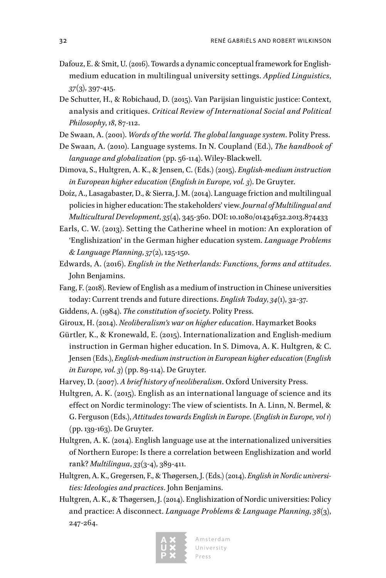- Dafouz, E. & Smit, U. (2016). Towards a dynamic conceptual framework for Englishmedium education in multilingual university settings. *Applied Linguistics*, *37*(3), 397-415.
- De Schutter, H., & Robichaud, D. (2015). Van Parijsian linguistic justice: Context, analysis and critiques. *Critical Review of International Social and Political Philosophy*, *18*, 87-112.
- De Swaan, A. (2001). *Words of the world. The global language system*. Polity Press.
- De Swaan, A. (2010). Language systems. In N. Coupland (Ed.), *The handbook of language and globalization* (pp. 56-114). Wiley-Blackwell.
- Dimova, S., Hultgren, A. K., & Jensen, C. (Eds.) (2015). *English-medium instruction in European higher education (English in Europe, vol. 3)*. De Gruyter.
- Doíz, A., Lasagabaster, D., & Sierra, J. M. (2014). Language friction and multilingual policies in higher education: The stakeholders' view. *Journal of Multilingual and Multicultural Development*, *35*(4), 345-360. DOI: 10.1080/01434632.2013.874433
- Earls, C. W. (2013). Setting the Catherine wheel in motion: An exploration of 'Englishization' in the German higher education system. *Language Problems & Language Planning*, *37*(2), 125-150.
- Edwards, A. (2016). *English in the Netherlands: Functions, forms and attitudes*. John Benjamins.
- Fang, F. (2018). Review of English as a medium of instruction in Chinese universities today: Current trends and future directions. *English Today*, *34*(1), 32-37.
- Giddens, A. (1984). *The constitution of society*. Polity Press.
- Giroux, H. (2014). *Neoliberalism's war on higher education*. Haymarket Books
- Gürtler, K., & Kronewald, E. (2015). Internationalization and English-medium instruction in German higher education. In S. Dimova, A. K. Hultgren, & C. Jensen (Eds.), *English-medium instruction in European higher education (English in Europe, vol. 3)* (pp. 89-114). De Gruyter.
- Harvey, D. (2007). *A brief history of neoliberalism*. Oxford University Press.
- Hultgren, A. K. (2015). English as an international language of science and its effect on Nordic terminology: The view of scientists. In A. Linn, N. Bermel, & G. Ferguson (Eds.), *Attitudes towards English in Europe. (English in Europe, vol 1)* (pp. 139-163). De Gruyter.
- Hultgren, A. K. (2014). English language use at the internationalized universities of Northern Europe: Is there a correlation between Englishization and world rank? *Multilingua*, *33*(3-4), 389-411.
- Hultgren, A. K., Gregersen, F., & Thøgersen, J. (Eds.) (2014). *English in Nordic universities: Ideologies and practices*. John Benjamins.
- Hultgren, A. K., & Thøgersen, J. (2014). Englishization of Nordic universities: Policy and practice: A disconnect. *Language Problems & Language Planning*, *38*(3), 247-264.

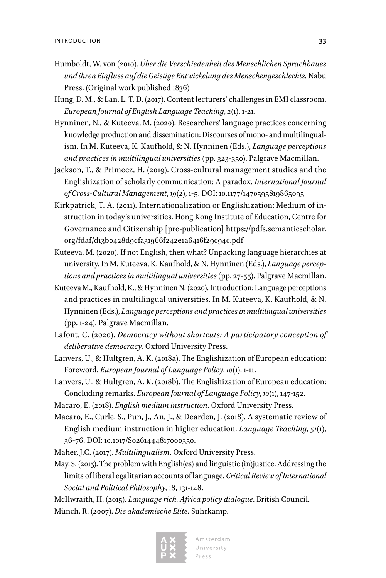- Humboldt, W. von (2010). *Über die Verschiedenheit des Menschlichen Sprachbaues und ihren Einfluss auf die Geistige Entwickelung des Menschengeschlechts.* Nabu Press. (Original work published 1836)
- Hung, D. M., & Lan, L. T. D. (2017). Content lecturers' challenges in EMI classroom. *European Journal of English Language Teaching*, *2*(1), 1-21.
- Hynninen, N., & Kuteeva, M. (2020). Researchers' language practices concerning knowledge production and dissemination: Discourses of mono- and multilingualism. In M. Kuteeva, K. Kaufhold, & N. Hynninen (Eds.), *Language perceptions and practices in multilingual universities* (pp. 323-350). Palgrave Macmillan.
- Jackson, T., & Primecz, H. (2019). Cross-cultural management studies and the Englishization of scholarly communication: A paradox. *International Journal of Cross-Cultural Management*, *19*(2), 1-5. DOI: 10.1177/1470595819865095
- Kirkpatrick, T. A. (2011). Internationalization or Englishization: Medium of instruction in today's universities. Hong Kong Institute of Education, Centre for Governance and Citizenship [pre-publication] [https://pdfs.semanticscholar.](https://pdfs.semanticscholar.org/fdaf/d13b0428d9cfa31966f242e1a6416f29c94c.pdf) [org/fdaf/d13b0428d9cfa31966f242e1a6416f29c94c.pdf](https://pdfs.semanticscholar.org/fdaf/d13b0428d9cfa31966f242e1a6416f29c94c.pdf)
- Kuteeva, M. (2020). If not English, then what? Unpacking language hierarchies at university. In M. Kuteeva, K. Kaufhold, & N. Hynninen (Eds.), *Language perceptions and practices in multilingual universities* (pp. 27-55). Palgrave Macmillan.
- Kuteeva M., Kaufhold, K., & Hynninen N. (2020). Introduction: Language perceptions and practices in multilingual universities. In M. Kuteeva, K. Kaufhold, & N. Hynninen (Eds.), *Language perceptions and practices in multilingual universities* (pp. 1-24). Palgrave Macmillan.
- Lafont, C. (2020). *Democracy without shortcuts: A participatory conception of deliberative democracy.* Oxford University Press.
- Lanvers, U., & Hultgren, A. K. (2018a). The Englishization of European education: Foreword. *European Journal of Language Policy*, *10*(1), 1-11.
- Lanvers, U., & Hultgren, A. K. (2018b). The Englishization of European education: Concluding remarks. *European Journal of Language Policy*, *10*(1), 147-152.
- Macaro, E. (2018). *English medium instruction*. Oxford University Press.
- Macaro, E., Curle, S., Pun, J., An, J., & Dearden, J. (2018). A systematic review of English medium instruction in higher education. *Language Teaching*, *51*(1), 36-76. DOI: 10.1017/S0261444817000350.
- Maher, J.C. (2017). *Multilingualism*. Oxford University Press.
- May, S. (2015). The problem with English(es) and linguistic (in)justice. Addressing the limits of liberal egalitarian accounts of language. *Critical Review of International Social and Political Philosophy*, 18, 131-148.

McIlwraith, H. (2015). *Language rich. Africa policy dialogue*. British Council. Münch, R. (2007). *Die akademische Elite.* Suhrkamp.

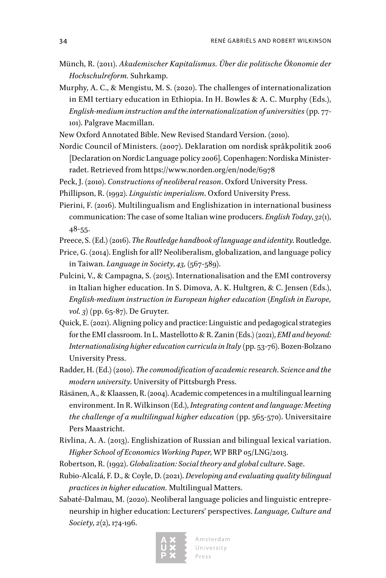- Münch, R. (2011). *Akademischer Kapitalismus. Über die politische Ökonomie der Hochschulreform.* Suhrkamp.
- Murphy, A. C., & Mengistu, M. S. (2020). The challenges of internationalization in EMI tertiary education in Ethiopia. In H. Bowles & A. C. Murphy (Eds.), *English-medium instruction and the internationalization of universities* (pp. 77- 101). Palgrave Macmillan.
- New Oxford Annotated Bible. New Revised Standard Version. (2010).
- Nordic Council of Ministers. (2007). Deklaration om nordisk språkpolitik 2006 [Declaration on Nordic Language policy 2006]. Copenhagen: Nordiska Ministerradet. Retrieved from <https://www.norden.org/en/node/6978>
- Peck, J. (2010). *Constructions of neoliberal reason*. Oxford University Press.
- Phillipson, R. (1992). *Linguistic imperialism*. Oxford University Press.
- Pierini, F. (2016). Multilingualism and Englishization in international business communication: The case of some Italian wine producers. *English Today*, *32*(1), 48-55.
- Preece, S. (Ed.) (2016). *The Routledge handbook of language and identity*. Routledge.
- Price, G. (2014). English for all? Neoliberalism, globalization, and language policy in Taiwan. *Language in Society*, *43,* (567-589).
- Pulcini, V., & Campagna, S. (2015). Internationalisation and the EMI controversy in Italian higher education. In S. Dimova, A. K. Hultgren, & C. Jensen (Eds.), *English-medium instruction in European higher education (English in Europe, vol. 3)* (pp. 65-87). De Gruyter.
- Quick, E. (2021). Aligning policy and practice: Linguistic and pedagogical strategies for the EMI classroom. In L. Mastellotto & R. Zanin (Eds.) (2021), *EMI and beyond: Internationalising higher education curricula in Italy* (pp. 53-76). Bozen-Bolzano University Press.
- Radder, H. (Ed.) (2010). *The commodification of academic research. Science and the modern university*. University of Pittsburgh Press.
- Räsänen, A., & Klaassen, R. (2004). Academic competences in a multilingual learning environment. In R. Wilkinson (Ed.), *Integrating content and language: Meeting the challenge of a multilingual higher education* (pp. 565-570). Universitaire Pers Maastricht.
- Rivlina, A. A. (2013). Englishization of Russian and bilingual lexical variation. *Higher School of Economics Working Paper*, WP BRP 05/LNG/2013.
- Robertson, R. (1992). *Globalization: Social theory and global culture*. Sage.
- Rubio-Alcalá, F. D., & Coyle, D. (2021). *Developing and evaluating quality bilingual practices in higher education.* Multilingual Matters.
- Sabaté-Dalmau, M. (2020). Neoliberal language policies and linguistic entrepreneurship in higher education: Lecturers' perspectives. *Language, Culture and Society*, *2*(2), 174-196.

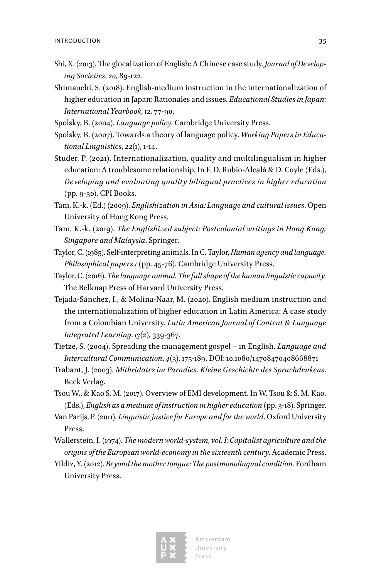- Shi, X. (2013). The glocalization of English: A Chinese case study. *Journal of Developing Societies*, *20*, 89-122.
- Shimauchi, S. (2018). English-medium instruction in the internationalization of higher education in Japan: Rationales and issues. *Educational Studies in Japan: International Yearbook*, *12*, 77-90.
- Spolsky, B. (2004). *Language policy*. Cambridge University Press.
- Spolsky, B. (2007). Towards a theory of language policy. *Working Papers in Educational Linguistics*, *22*(1), 1-14.
- Studer, P. (2021). Internationalization, quality and multilingualism in higher education: A troublesome relationship. In F. D. Rubio-Alcalá & D. Coyle (Eds.), *Developing and evaluating quality bilingual practices in higher education*  (pp. 9-30). CPI Books.
- Tam, K.-k. (Ed.) (2009). *Englishization in Asia: Language and cultural issues*. Open University of Hong Kong Press.
- Tam, K.-k. (2019). *The Englishized subject: Postcolonial writings in Hong Kong, Singapore and Malaysia*. Springer.
- Taylor, C. (1985). Self-interpreting animals. In C. Taylor, *Human agency and language. Philosophical papers 1* (pp. 45-76). Cambridge University Press.
- Taylor, C. (2016). *The language animal. The full shape of the human linguistic capacity.*  The Belknap Press of Harvard University Press.
- Tejada-Sánchez, I., & Molina-Naar, M. (2020). English medium instruction and the internationalization of higher education in Latin America: A case study from a Colombian University. *Latin American Journal of Content & Language Integrated Learning*, *13*(2), 339-367.
- Tietze, S. (2004). Spreading the management gospel in English. *Language and Intercultural Communication*, *4*(3), 175-189. DOI: 10.1080/14708470408668871
- Trabant, J. (2003). *Mithridates im Paradies. Kleine Geschichte des Sprachdenkens*. Beck Verlag.
- Tsou W., & Kao S. M. (2017). Overview of EMI development. In W. Tsou & S. M. Kao. (Eds.), *English as a medium of instruction in higher education* (pp. 3-18). Springer.
- Van Parijs, P. (2011). *Linguistic justice for Europe and for the world*. Oxford University Press.
- Wallerstein, I. (1974). *The modern world-system, vol. I: Capitalist agriculture and the origins of the European world-economy in the sixteenth century*. Academic Press.
- Yildiz, Y. (2012). *Beyond the mother tongue: The postmonolingual condition.* Fordham University Press.



Amsterdam University